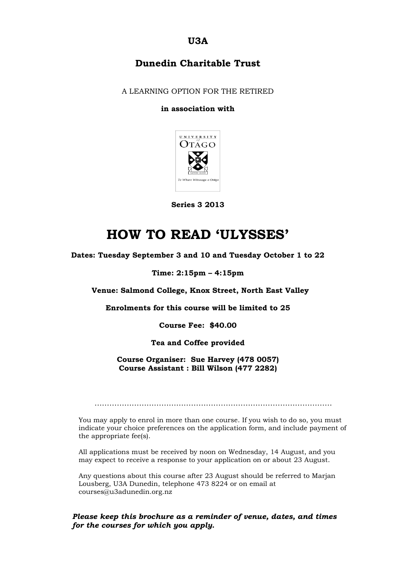**U3A**

### **Dunedin Charitable Trust**

A LEARNING OPTION FOR THE RETIRED

#### **in association with**



**Series 3 2013**

## **HOW TO READ 'ULYSSES'**

**Dates: Tuesday September 3 and 10 and Tuesday October 1 to 22**

#### **Time: 2:15pm – 4:15pm**

**Venue: Salmond College, Knox Street, North East Valley**

**Enrolments for this course will be limited to 25**

**Course Fee: \$40.00**

**Tea and Coffee provided**

**Course Organiser: Sue Harvey (478 0057) Course Assistant : Bill Wilson (477 2282)**

……………………………………………………………………………………

You may apply to enrol in more than one course. If you wish to do so, you must indicate your choice preferences on the application form, and include payment of the appropriate fee(s).

All applications must be received by noon on Wednesday, 14 August, and you may expect to receive a response to your application on or about 23 August.

Any questions about this course after 23 August should be referred to Marjan Lousberg, U3A Dunedin, telephone 473 8224 or on email at courses@u3adunedin.org.nz

*Please keep this brochure as a reminder of venue, dates, and times for the courses for which you apply.*